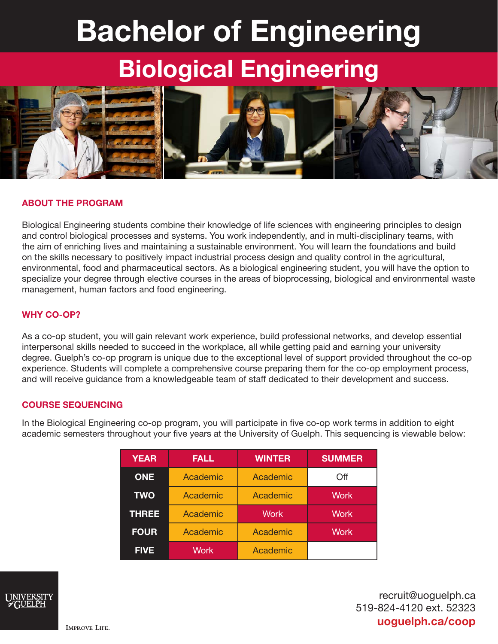# Bachelor of Engineering Biological Engineering



## ABOUT THE PROGRAM

Biological Engineering students combine their knowledge of life sciences with engineering principles to design and control biological processes and systems. You work independently, and in multi-disciplinary teams, with the aim of enriching lives and maintaining a sustainable environment. You will learn the foundations and build on the skills necessary to positively impact industrial process design and quality control in the agricultural, environmental, food and pharmaceutical sectors. As a biological engineering student, you will have the option to specialize your degree through elective courses in the areas of bioprocessing, biological and environmental waste management, human factors and food engineering.

#### WHY CO-OP?

As a co-op student, you will gain relevant work experience, build professional networks, and develop essential interpersonal skills needed to succeed in the workplace, all while getting paid and earning your university degree. Guelph's co-op program is unique due to the exceptional level of support provided throughout the co-op experience. Students will complete a comprehensive course preparing them for the co-op employment process, and will receive guidance from a knowledgeable team of staff dedicated to their development and success.

#### COURSE SEQUENCING

In the Biological Engineering co-op program, you will participate in five co-op work terms in addition to eight academic semesters throughout your five years at the University of Guelph. This sequencing is viewable below:

| <b>YEAR</b>  | <b>FALL</b> | <b>WINTER</b> | <b>SUMMER</b> |
|--------------|-------------|---------------|---------------|
| <b>ONE</b>   | Academic    | Academic      | Off           |
| <b>TWO</b>   | Academic    | Academic      | <b>Work</b>   |
| <b>THREE</b> | Academic    | <b>Work</b>   | <b>Work</b>   |
| <b>FOUR</b>  | Academic    | Academic      | <b>Work</b>   |
| <b>FIVE</b>  | Work        | Academic      |               |



recruit@uoguelph.ca 519-824-4120 ext. 52323 uoguelph.ca/coop